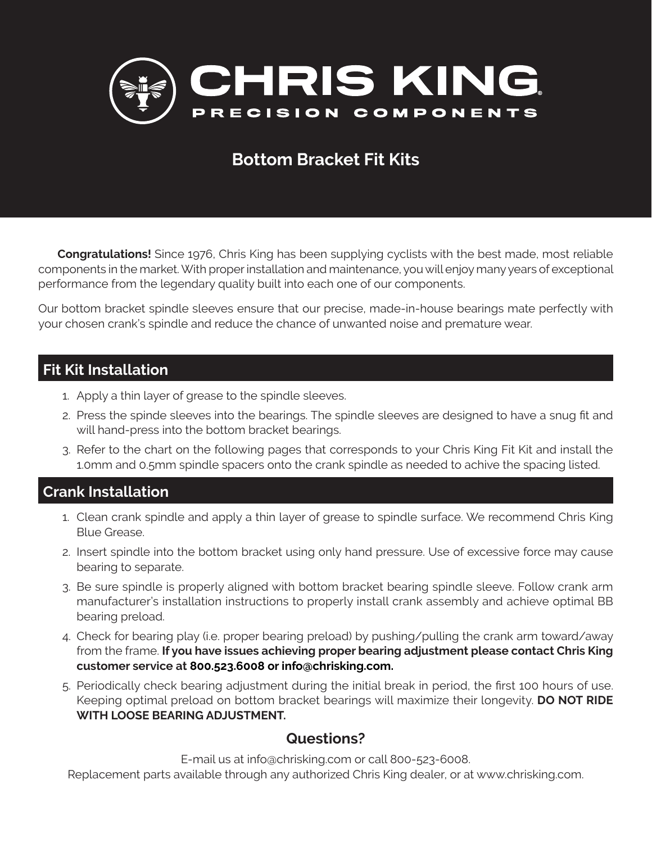

# **Bottom Bracket Fit Kits**

**Congratulations!** Since 1976, Chris King has been supplying cyclists with the best made, most reliable components in the market. With proper installation and maintenance, you will enjoy many years of exceptional performance from the legendary quality built into each one of our components.

Our bottom bracket spindle sleeves ensure that our precise, made-in-house bearings mate perfectly with your chosen crank's spindle and reduce the chance of unwanted noise and premature wear.

### **Fit Kit Installation**

- 1. Apply a thin layer of grease to the spindle sleeves.
- 2. Press the spinde sleeves into the bearings. The spindle sleeves are designed to have a snug fit and will hand-press into the bottom bracket bearings.
- 3. Refer to the chart on the following pages that corresponds to your Chris King Fit Kit and install the 1.0mm and 0.5mm spindle spacers onto the crank spindle as needed to achive the spacing listed.

#### **Crank Installation**

- 1. Clean crank spindle and apply a thin layer of grease to spindle surface. We recommend Chris King Blue Grease.
- 2. Insert spindle into the bottom bracket using only hand pressure. Use of excessive force may cause bearing to separate.
- 3. Be sure spindle is properly aligned with bottom bracket bearing spindle sleeve. Follow crank arm manufacturer's installation instructions to properly install crank assembly and achieve optimal BB bearing preload.
- 4. Check for bearing play (i.e. proper bearing preload) by pushing/pulling the crank arm toward/away from the frame. **If you have issues achieving proper bearing adjustment please contact Chris King customer service at 800.523.6008 or info@chrisking.com.**
- 5. Periodically check bearing adjustment during the initial break in period, the first 100 hours of use. Keeping optimal preload on bottom bracket bearings will maximize their longevity. **DO NOT RIDE WITH LOOSE BEARING ADJUSTMENT.**

#### **Questions?**

E-mail us at info@chrisking.com or call 800-523-6008.

Replacement parts available through any authorized Chris King dealer, or at www.chrisking.com.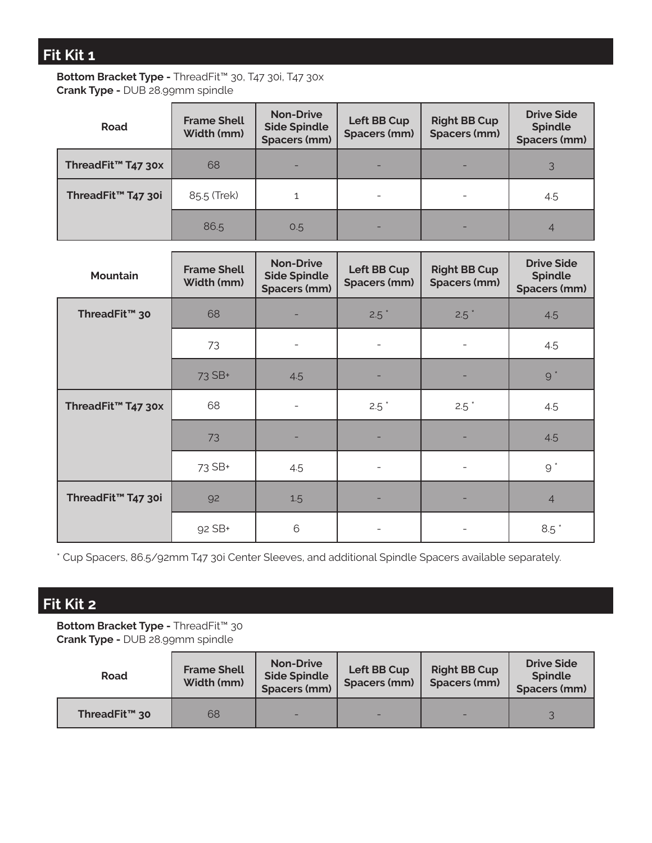## **Fit Kit 1**

#### **Bottom Bracket Type -** ThreadFit™ 30, T47 30i, T47 30x **Crank Type -** DUB 28.99mm spindle

| Road                           | <b>Frame Shell</b><br>Width (mm) | <b>Non-Drive</b><br><b>Side Spindle</b><br><b>Spacers (mm)</b> | Left BB Cup<br><b>Spacers (mm)</b> | <b>Right BB Cup</b><br><b>Spacers (mm)</b> | <b>Drive Side</b><br><b>Spindle</b><br><b>Spacers (mm)</b> |
|--------------------------------|----------------------------------|----------------------------------------------------------------|------------------------------------|--------------------------------------------|------------------------------------------------------------|
| ThreadFit <sup>™</sup> T47 30x | 68                               |                                                                |                                    |                                            |                                                            |
| ThreadFit <sup>™</sup> T47 30i | 85.5 (Trek)                      |                                                                |                                    |                                            | 4.5                                                        |
|                                | 86.5                             | 0.5                                                            |                                    |                                            | $\overline{4}$                                             |

| <b>Mountain</b>                | <b>Frame Shell</b><br>Width (mm) | <b>Non-Drive</b><br><b>Side Spindle</b><br><b>Spacers (mm)</b> | Left BB Cup<br><b>Spacers (mm)</b> | <b>Right BB Cup</b><br><b>Spacers (mm)</b> | <b>Drive Side</b><br><b>Spindle</b><br><b>Spacers (mm)</b> |
|--------------------------------|----------------------------------|----------------------------------------------------------------|------------------------------------|--------------------------------------------|------------------------------------------------------------|
| ThreadFit <sup>™</sup> 30      | 68                               |                                                                | 2.5                                | 2.5                                        | 4.5                                                        |
|                                | 73                               | -                                                              | $\overline{\phantom{a}}$           | $\qquad \qquad -$                          | 4.5                                                        |
|                                | 73 SB+                           | 4.5                                                            |                                    |                                            | $9 *$                                                      |
| ThreadFit <sup>™</sup> T47 30x | 68                               | $\overline{\phantom{a}}$                                       | 2.5                                | 2.5                                        | 4.5                                                        |
|                                | 73                               |                                                                |                                    |                                            | 4.5                                                        |
|                                | 73 SB+                           | 4.5                                                            | $\overline{\phantom{a}}$           | $\qquad \qquad -$                          | $9^*$                                                      |
| ThreadFit <sup>™</sup> T47 30i | 92                               | 1.5                                                            |                                    |                                            | $\overline{4}$                                             |
|                                | 92 SB+                           | 6                                                              |                                    |                                            | 8.5                                                        |

\* Cup Spacers, 86.5/92mm T47 30i Center Sleeves, and additional Spindle Spacers available separately.

## **Fit Kit 2**

**Bottom Bracket Type -** ThreadFit™ 30 **Crank Type -** DUB 28.99mm spindle

| Road                      | <b>Frame Shell</b><br>Width (mm) | <b>Non-Drive</b><br><b>Side Spindle</b><br><b>Spacers (mm)</b> | Left BB Cup<br>Spacers (mm) | <b>Right BB Cup</b><br>Spacers (mm) | <b>Drive Side</b><br><b>Spindle</b><br><b>Spacers (mm)</b> |
|---------------------------|----------------------------------|----------------------------------------------------------------|-----------------------------|-------------------------------------|------------------------------------------------------------|
| ThreadFit <sup>™</sup> 30 | 68                               |                                                                |                             |                                     |                                                            |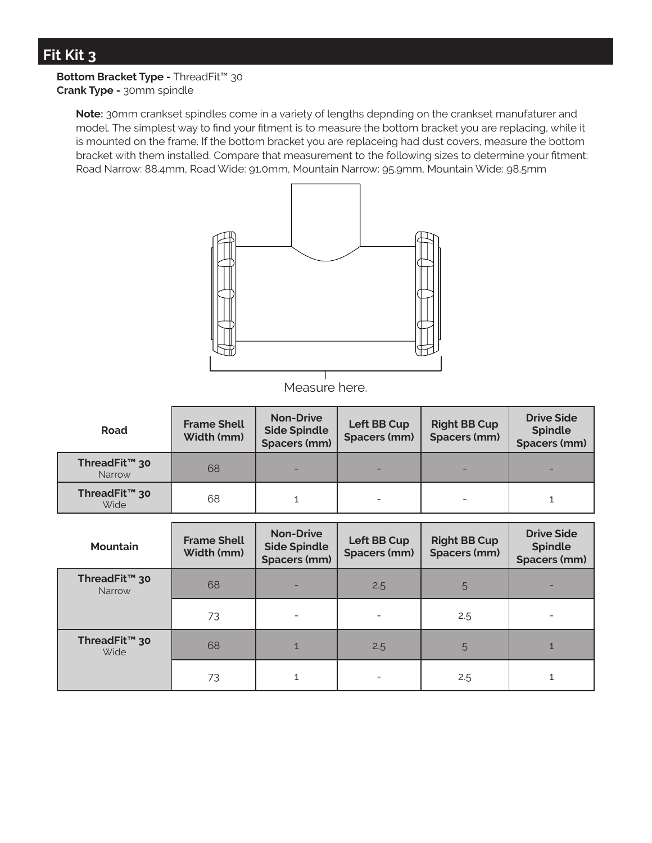**Bottom Bracket Type - ThreadFit™ 30 Crank Type -** 30mm spindle

> **Note:** 30mm crankset spindles come in a variety of lengths depnding on the crankset manufaturer and model. The simplest way to find your fitment is to measure the bottom bracket you are replacing, while it is mounted on the frame. If the bottom bracket you are replaceing had dust covers, measure the bottom bracket with them installed. Compare that measurement to the following sizes to determine your fitment; Road Narrow: 88.4mm, Road Wide: 91.0mm, Mountain Narrow: 95.9mm, Mountain Wide: 98.5mm



Measure here.

| Road                                | <b>Frame Shell</b><br>Width (mm) | <b>Non-Drive</b><br><b>Side Spindle</b><br><b>Spacers (mm)</b> | Left BB Cup<br><b>Spacers (mm)</b> | <b>Right BB Cup</b><br><b>Spacers (mm)</b> | <b>Drive Side</b><br><b>Spindle</b><br><b>Spacers (mm)</b> |
|-------------------------------------|----------------------------------|----------------------------------------------------------------|------------------------------------|--------------------------------------------|------------------------------------------------------------|
| ThreadFit <sup>™</sup> 30<br>Narrow | 68                               |                                                                |                                    |                                            |                                                            |
| ThreadFit <sup>™</sup> 30<br>Wide   | 68                               |                                                                |                                    |                                            |                                                            |

| <b>Mountain</b>                     | <b>Frame Shell</b><br>Width (mm) | <b>Non-Drive</b><br><b>Side Spindle</b><br><b>Spacers (mm)</b> | Left BB Cup<br><b>Spacers (mm)</b> | <b>Right BB Cup</b><br><b>Spacers (mm)</b> | <b>Drive Side</b><br><b>Spindle</b><br><b>Spacers (mm)</b> |
|-------------------------------------|----------------------------------|----------------------------------------------------------------|------------------------------------|--------------------------------------------|------------------------------------------------------------|
| ThreadFit <sup>™</sup> 30<br>Narrow | 68                               |                                                                | 2.5                                | 5                                          |                                                            |
|                                     | 73                               |                                                                |                                    | 2.5                                        |                                                            |
| ThreadFit <sup>™</sup> 30<br>Wide   | 68                               |                                                                | 2.5                                | 5                                          |                                                            |
|                                     | 73                               |                                                                |                                    | 2.5                                        |                                                            |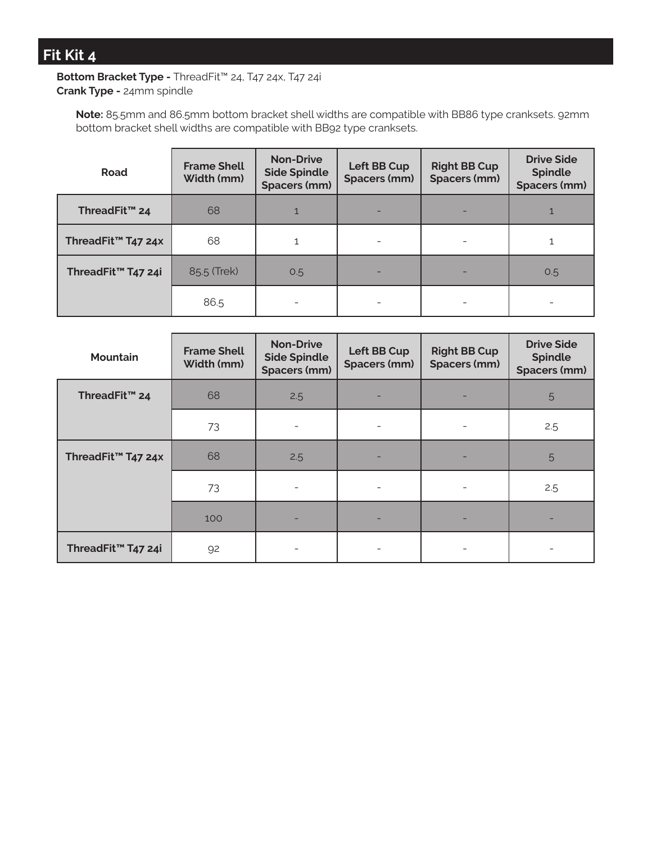# **Fit Kit 4**

**Bottom Bracket Type -** ThreadFit™ 24, T47 24x, T47 24i **Crank Type -** 24mm spindle

**Note:** 85.5mm and 86.5mm bottom bracket shell widths are compatible with BB86 type cranksets. 92mm bottom bracket shell widths are compatible with BB92 type cranksets.

| Road                           | <b>Frame Shell</b><br>Width (mm) | <b>Non-Drive</b><br><b>Side Spindle</b><br><b>Spacers (mm)</b> | Left BB Cup<br><b>Spacers (mm)</b> | <b>Right BB Cup</b><br><b>Spacers (mm)</b> | <b>Drive Side</b><br><b>Spindle</b><br><b>Spacers (mm)</b> |
|--------------------------------|----------------------------------|----------------------------------------------------------------|------------------------------------|--------------------------------------------|------------------------------------------------------------|
| ThreadFit <sup>™</sup> 24      | 68                               |                                                                |                                    |                                            |                                                            |
| ThreadFit <sup>™</sup> T47 24x | 68                               | 1                                                              |                                    |                                            |                                                            |
| ThreadFit <sup>™</sup> T47 24i | 85.5 (Trek)                      | 0.5                                                            |                                    |                                            | 0.5                                                        |
|                                | 86.5                             |                                                                |                                    |                                            |                                                            |

| <b>Mountain</b>                | <b>Frame Shell</b><br>Width (mm) | <b>Non-Drive</b><br><b>Side Spindle</b><br>Spacers (mm) | Left BB Cup<br><b>Spacers (mm)</b> | <b>Right BB Cup</b><br>Spacers (mm) | <b>Drive Side</b><br><b>Spindle</b><br><b>Spacers (mm)</b> |
|--------------------------------|----------------------------------|---------------------------------------------------------|------------------------------------|-------------------------------------|------------------------------------------------------------|
| ThreadFit <sup>™</sup> 24      | 68                               | 2.5                                                     |                                    |                                     | 5                                                          |
|                                | 73                               |                                                         |                                    |                                     | 2.5                                                        |
| ThreadFit <sup>™</sup> T47 24x | 68                               | 2.5                                                     |                                    |                                     | 5                                                          |
|                                | 73                               |                                                         |                                    |                                     | 2.5                                                        |
|                                | 100                              |                                                         |                                    |                                     |                                                            |
| ThreadFit™ T47 24i             | 92                               |                                                         |                                    |                                     |                                                            |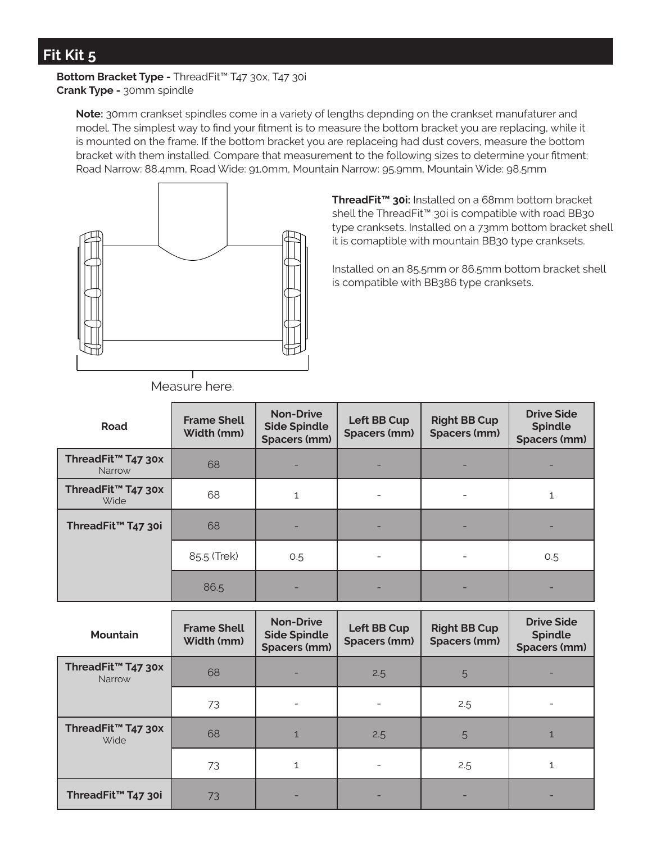**Bottom Bracket Type -** ThreadFit™ T47 30x, T47 30i **Crank Type -** 30mm spindle

**Note:** 30mm crankset spindles come in a variety of lengths depnding on the crankset manufaturer and model. The simplest way to find your fitment is to measure the bottom bracket you are replacing, while it is mounted on the frame. If the bottom bracket you are replaceing had dust covers, measure the bottom bracket with them installed. Compare that measurement to the following sizes to determine your fitment; Road Narrow: 88.4mm, Road Wide: 91.0mm, Mountain Narrow: 95.9mm, Mountain Wide: 98.5mm



**ThreadFit™ 30i:** Installed on a 68mm bottom bracket shell the ThreadFit™ 30i is compatible with road BB30 type cranksets. Installed on a 73mm bottom bracket shell it is comaptible with mountain BB30 type cranksets.

Installed on an 85.5mm or 86.5mm bottom bracket shell is compatible with BB386 type cranksets.

| Road                                     | <b>Frame Shell</b><br>Width (mm) | <b>Non-Drive</b><br><b>Side Spindle</b><br>Spacers (mm) | Left BB Cup<br><b>Spacers (mm)</b> | <b>Right BB Cup</b><br><b>Spacers (mm)</b> | <b>Drive Side</b><br><b>Spindle</b><br><b>Spacers (mm)</b> |
|------------------------------------------|----------------------------------|---------------------------------------------------------|------------------------------------|--------------------------------------------|------------------------------------------------------------|
| ThreadFit <sup>™</sup> T47 30x<br>Narrow | 68                               |                                                         |                                    |                                            |                                                            |
| ThreadFit <sup>™</sup> T47 30x<br>Wide   | 68                               | 1                                                       |                                    |                                            | $\mathbf{1}$                                               |
| ThreadFit <sup>™</sup> T47 30i           | 68                               |                                                         |                                    |                                            |                                                            |
|                                          | 85.5 (Trek)                      | 0.5                                                     | ٠                                  | $\overline{\phantom{m}}$                   | 0.5                                                        |
|                                          | 86.5                             |                                                         |                                    |                                            |                                                            |

| <b>Mountain</b>                          | <b>Frame Shell</b><br>Width (mm) | <b>Non-Drive</b><br><b>Side Spindle</b><br>Spacers (mm) | Left BB Cup<br><b>Spacers (mm)</b> | <b>Right BB Cup</b><br>Spacers (mm) | <b>Drive Side</b><br>Spindle<br><b>Spacers (mm)</b> |
|------------------------------------------|----------------------------------|---------------------------------------------------------|------------------------------------|-------------------------------------|-----------------------------------------------------|
| ThreadFit <sup>™</sup> T47 30x<br>Narrow | 68                               |                                                         | 2.5                                | 5                                   |                                                     |
|                                          | 73                               |                                                         |                                    | 2.5                                 |                                                     |
| ThreadFit <sup>™</sup> T47 30x<br>Wide   | 68                               |                                                         | 2.5                                | 5                                   |                                                     |
|                                          | 73                               |                                                         |                                    | 2.5                                 | $\mathbf{1}$                                        |
| ThreadFit <sup>™</sup> T47 30i           | 73                               |                                                         |                                    |                                     |                                                     |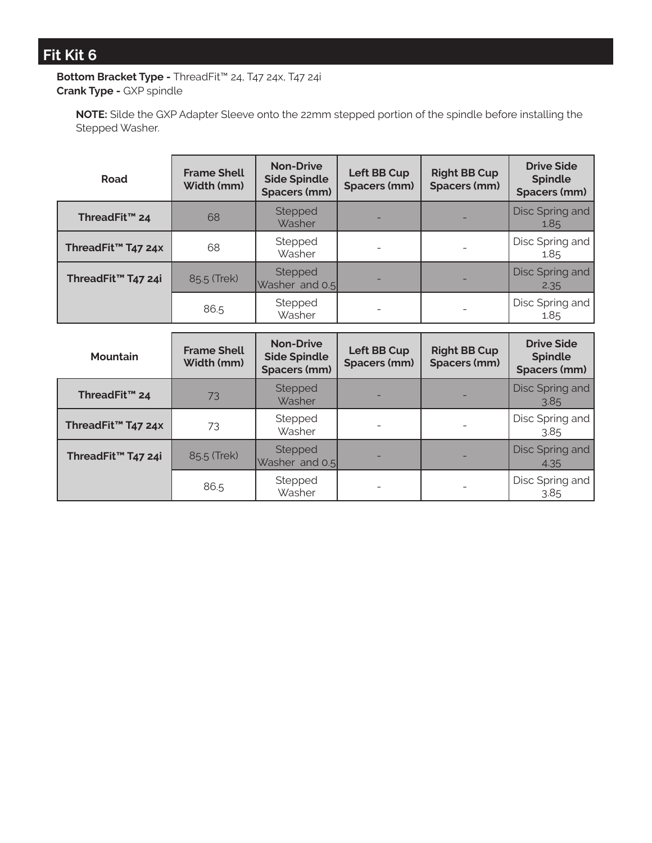# **Fit Kit 6**

**Bottom Bracket Type -** ThreadFit™ 24, T47 24x, T47 24i **Crank Type -** GXP spindle

**NOTE:** Silde the GXP Adapter Sleeve onto the 22mm stepped portion of the spindle before installing the Stepped Washer.

| Road                           | <b>Frame Shell</b><br>Width (mm) | <b>Non-Drive</b><br><b>Side Spindle</b><br><b>Spacers (mm)</b> | Left BB Cup<br>Spacers (mm) | <b>Right BB Cup</b><br><b>Spacers (mm)</b> | <b>Drive Side</b><br><b>Spindle</b><br><b>Spacers (mm)</b> |
|--------------------------------|----------------------------------|----------------------------------------------------------------|-----------------------------|--------------------------------------------|------------------------------------------------------------|
| ThreadFit <sup>™</sup> 24      | 68                               | Stepped<br>Washer                                              |                             |                                            | Disc Spring and<br>1.85                                    |
| ThreadFit <sup>™</sup> T47 24x | 68                               | Stepped<br>Washer                                              |                             |                                            | Disc Spring and<br>1.85                                    |
| ThreadFit <sup>™</sup> T47 24i | 85.5 (Trek)                      | Stepped<br>Washer and 0.5                                      |                             |                                            | Disc Spring and<br>2.35                                    |
|                                | 86.5                             | Stepped<br>Washer                                              |                             |                                            | Disc Spring and<br>1.85                                    |

| <b>Mountain</b>                | <b>Frame Shell</b><br>Width (mm) | <b>Non-Drive</b><br><b>Side Spindle</b><br>Spacers (mm) | Left BB Cup<br><b>Spacers (mm)</b> | <b>Right BB Cup</b><br><b>Spacers (mm)</b> | <b>Drive Side</b><br><b>Spindle</b><br><b>Spacers (mm)</b> |
|--------------------------------|----------------------------------|---------------------------------------------------------|------------------------------------|--------------------------------------------|------------------------------------------------------------|
| ThreadFit <sup>™</sup> 24      | 73                               | <b>Stepped</b><br>Washer                                |                                    |                                            | Disc Spring and<br>3.85                                    |
| ThreadFit™ T47 24x             | 73                               | Stepped<br>Washer                                       |                                    |                                            | Disc Spring and<br>3.85                                    |
| ThreadFit <sup>™</sup> T47 24i | 85.5 (Trek)                      | <b>Stepped</b><br>Washer and 0.5                        |                                    |                                            | Disc Spring and<br>4.35                                    |
|                                | 86.5                             | Stepped<br>Washer                                       |                                    |                                            | Disc Spring and<br>3.85                                    |